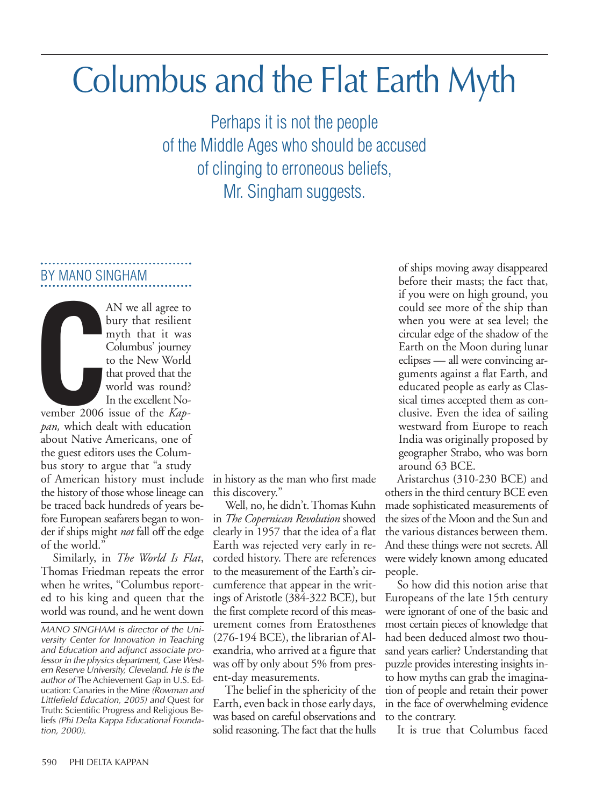# Columbus and the Flat Earth Myth

Perhaps it is not the people of the Middle Ages who should be accused of clinging to erroneous beliefs, Mr. Singham suggests.

# BY MANO SINGHAM

**CONTROL** AN we all agree to bury that resilient myth that it was Columbus' journey to the New World that proved that the world was round? In the excellent No-

vember 2006 issue of the *Kappan,* which dealt with education about Native Americans, one of the guest editors uses the Columbus story to argue that "a study of American history must include the history of those whose lineage can be traced back hundreds of years before European seafarers began to wonder if ships might *not* fall off the edge of the world."

Similarly, in *The World Is Flat*, Thomas Friedman repeats the error when he writes, "Columbus reported to his king and queen that the world was round, and he went down in history as the man who first made this discovery."

Well, no, he didn't. Thomas Kuhn in *The Copernican Revolution* showed clearly in 1957 that the idea of a flat Earth was rejected very early in recorded history. There are references to the measurement of the Earth's circumference that appear in the writings of Aristotle (384-322 BCE), but the first complete record of this measurement comes from Eratosthenes (276-194 BCE), the librarian of Alexandria, who arrived at a figure that was off by only about 5% from present-day measurements.

The belief in the sphericity of the Earth, even back in those early days, was based on careful observations and solid reasoning. The fact that the hulls

of ships moving away disappeared before their masts; the fact that, if you were on high ground, you could see more of the ship than when you were at sea level; the circular edge of the shadow of the Earth on the Moon during lunar eclipses — all were convincing arguments against a flat Earth, and educated people as early as Classical times accepted them as conclusive. Even the idea of sailing westward from Europe to reach India was originally proposed by geographer Strabo, who was born around 63 BCE.

Aristarchus (310-230 BCE) and others in the third century BCE even made sophisticated measurements of the sizes of the Moon and the Sun and the various distances between them. And these things were not secrets. All were widely known among educated people.

So how did this notion arise that Europeans of the late 15th century were ignorant of one of the basic and most certain pieces of knowledge that had been deduced almost two thousand years earlier? Understanding that puzzle provides interesting insights into how myths can grab the imagination of people and retain their power in the face of overwhelming evidence to the contrary.

It is true that Columbus faced

*MANO SINGHAM is director of the University Center for Innovation in Teaching and Education and adjunct associate professor in the physics department, Case Western Reserve University, Cleveland. He is the author of* The Achievement Gap in U.S. Education: Canaries in the Mine *(Rowman and Littlefield Education, 2005) and* Quest for Truth: Scientific Progress and Religious Beliefs *(Phi Delta Kappa Educational Foundation, 2000).*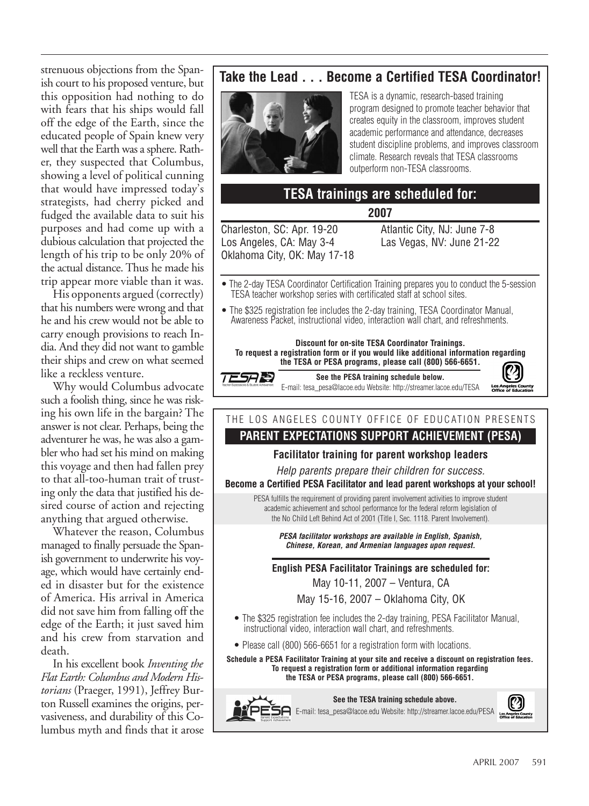strenuous objections from the Spanish court to his proposed venture, but this opposition had nothing to do with fears that his ships would fall off the edge of the Earth, since the educated people of Spain knew very well that the Earth was a sphere. Rather, they suspected that Columbus, showing a level of political cunning that would have impressed today's strategists, had cherry picked and fudged the available data to suit his purposes and had come up with a dubious calculation that projected the length of his trip to be only 20% of the actual distance. Thus he made his trip appear more viable than it was.

His opponents argued (correctly) that his numbers were wrong and that he and his crew would not be able to carry enough provisions to reach India. And they did not want to gamble their ships and crew on what seemed like a reckless venture.

Why would Columbus advocate such a foolish thing, since he was risking his own life in the bargain? The answer is not clear. Perhaps, being the adventurer he was, he was also a gambler who had set his mind on making this voyage and then had fallen prey to that all-too-human trait of trusting only the data that justified his desired course of action and rejecting anything that argued otherwise.

Whatever the reason, Columbus managed to finally persuade the Spanish government to underwrite his voyage, which would have certainly ended in disaster but for the existence of America. His arrival in America did not save him from falling off the edge of the Earth; it just saved him and his crew from starvation and death.

In his excellent book *Inventing the Flat Earth: Columbus and Modern Historians* (Praeger, 1991), Jeffrey Burton Russell examines the origins, pervasiveness, and durability of this Columbus myth and finds that it arose

## **Take the Lead . . . Become a Certified TESA Coordinator!**



TESA is a dynamic, research-based training program designed to promote teacher behavior that creates equity in the classroom, improves student academic performance and attendance, decreases student discipline problems, and improves classroom climate. Research reveals that TESA classrooms outperform non-TESA classrooms.

## **TESA trainings are scheduled for:**

**2007**

Charleston, SC: Apr. 19-20 Los Angeles, CA: May 3-4 Oklahoma City, OK: May 17-18 Atlantic City, NJ: June 7-8 Las Vegas, NV: June 21-22

- The 2-day TESA Coordinator Certification Training prepares you to conduct the 5-session TESA teacher workshop series with certificated staff at school sites.
- The \$325 registration fee includes the 2-day training, TESA Coordinator Manual, Awareness Packet, instructional video, interaction wall chart, and refreshments.

**Discount for on-site TESA Coordinator Trainings. To request a registration form or if you would like additional information regarding the TESA or PESA programs, please call (800) 566-6651.**

TESARI

**See the PESA training schedule below.** E-mail: tesa\_pesa@lacoe.edu Website: http://streamer.lacoe.edu/TESA



# THE LOS ANGELES COUNTY OFFICE OF EDUCATION PRESENTS

### **PARENT EXPECTATIONS SUPPORT ACHIEVEMENT (PESA)**

#### **Facilitator training for parent workshop leaders**

*Help parents prepare their children for success.*

**Become a Certified PESA Facilitator and lead parent workshops at your school!**

PESA fulfills the requirement of providing parent involvement activities to improve student academic achievement and school performance for the federal reform legislation of the No Child Left Behind Act of 2001 (Title I, Sec. 1118. Parent Involvement).

> *PESA facilitator workshops are available in English, Spanish, Chinese, Korean, and Armenian languages upon request.*

**English PESA Facilitator Trainings are scheduled for:**

May 10-11, 2007 – Ventura, CA

May 15-16, 2007 – Oklahoma City, OK

- The \$325 registration fee includes the 2-day training, PESA Facilitator Manual, instructional video, interaction wall chart, and refreshments.
- Please call (800) 566-6651 for a registration form with locations.

**Schedule a PESA Facilitator Training at your site and receive a discount on registration fees. To request a registration form or additional information regarding the TESA or PESA programs, please call (800) 566-6651.**

**See the TESA training schedule above.**

E-mail: tesa\_pesa@lacoe.edu Website: http://streamer.lacoe.edu/PESA